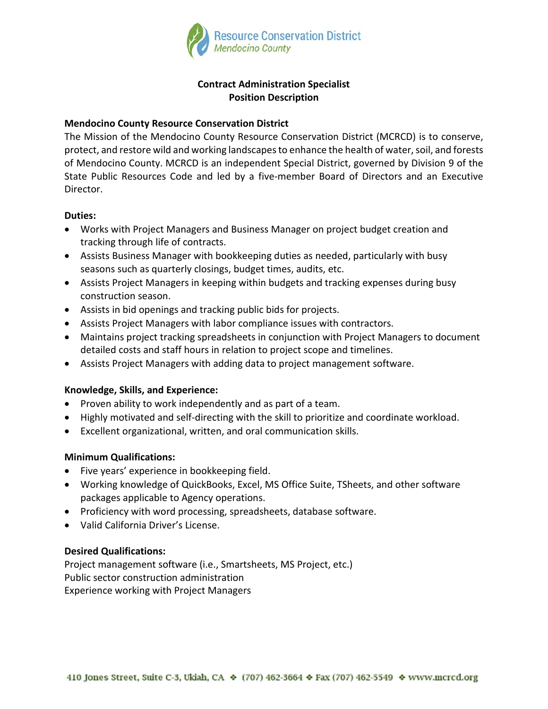

# **Contract Administration Specialist Position Description**

# **Mendocino County Resource Conservation District**

The Mission of the Mendocino County Resource Conservation District (MCRCD) is to conserve, protect, and restore wild and working landscapes to enhance the health of water, soil, and forests of Mendocino County. MCRCD is an independent Special District, governed by Division 9 of the State Public Resources Code and led by a five-member Board of Directors and an Executive Director.

## **Duties:**

- Works with Project Managers and Business Manager on project budget creation and tracking through life of contracts.
- Assists Business Manager with bookkeeping duties as needed, particularly with busy seasons such as quarterly closings, budget times, audits, etc.
- Assists Project Managers in keeping within budgets and tracking expenses during busy construction season.
- Assists in bid openings and tracking public bids for projects.
- Assists Project Managers with labor compliance issues with contractors.
- Maintains project tracking spreadsheets in conjunction with Project Managers to document detailed costs and staff hours in relation to project scope and timelines.
- Assists Project Managers with adding data to project management software.

## **Knowledge, Skills, and Experience:**

- Proven ability to work independently and as part of a team.
- Highly motivated and self-directing with the skill to prioritize and coordinate workload.
- Excellent organizational, written, and oral communication skills.

## **Minimum Qualifications:**

- Five years' experience in bookkeeping field.
- Working knowledge of QuickBooks, Excel, MS Office Suite, TSheets, and other software packages applicable to Agency operations.
- Proficiency with word processing, spreadsheets, database software.
- Valid California Driver's License.

## **Desired Qualifications:**

Project management software (i.e., Smartsheets, MS Project, etc.) Public sector construction administration Experience working with Project Managers